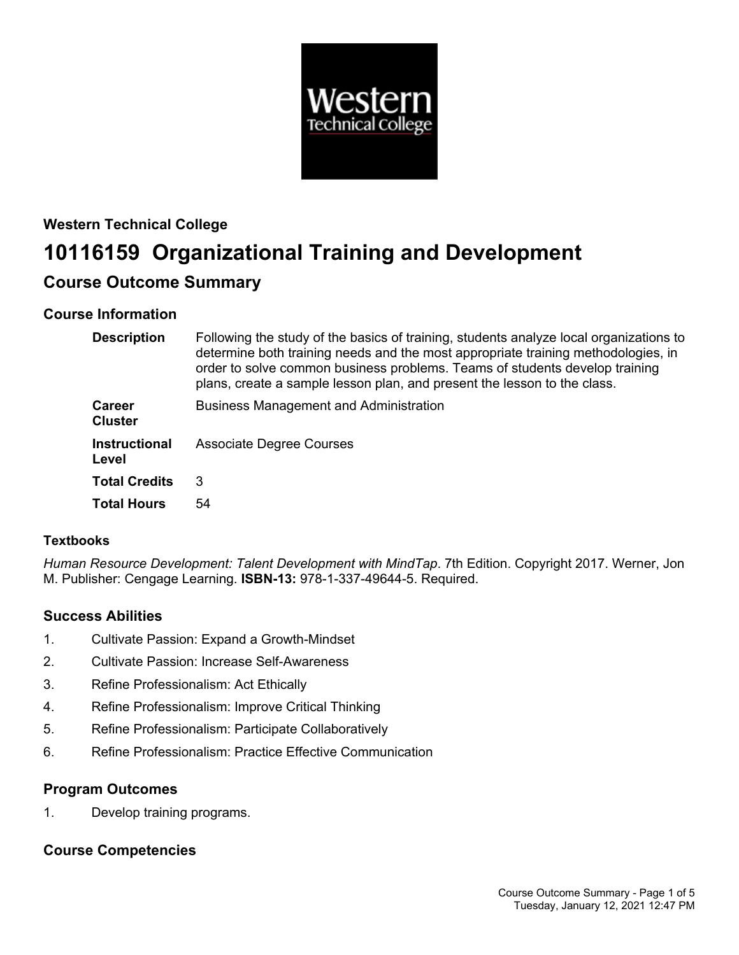

# **Western Technical College 10116159 Organizational Training and Development Course Outcome Summary**

# **Course Information**

| <b>Description</b>              | Following the study of the basics of training, students analyze local organizations to<br>determine both training needs and the most appropriate training methodologies, in<br>order to solve common business problems. Teams of students develop training<br>plans, create a sample lesson plan, and present the lesson to the class. |
|---------------------------------|----------------------------------------------------------------------------------------------------------------------------------------------------------------------------------------------------------------------------------------------------------------------------------------------------------------------------------------|
| <b>Career</b><br><b>Cluster</b> | <b>Business Management and Administration</b>                                                                                                                                                                                                                                                                                          |
| <b>Instructional</b><br>Level   | <b>Associate Degree Courses</b>                                                                                                                                                                                                                                                                                                        |
| <b>Total Credits</b>            | 3                                                                                                                                                                                                                                                                                                                                      |
| <b>Total Hours</b>              | 54                                                                                                                                                                                                                                                                                                                                     |

# **Textbooks**

*Human Resource Development: Talent Development with MindTap*. 7th Edition. Copyright 2017. Werner, Jon M. Publisher: Cengage Learning. **ISBN-13:** 978-1-337-49644-5. Required.

# **Success Abilities**

- 1. Cultivate Passion: Expand a Growth-Mindset
- 2. Cultivate Passion: Increase Self-Awareness
- 3. Refine Professionalism: Act Ethically
- 4. Refine Professionalism: Improve Critical Thinking
- 5. Refine Professionalism: Participate Collaboratively
- 6. Refine Professionalism: Practice Effective Communication

# **Program Outcomes**

1. Develop training programs.

# **Course Competencies**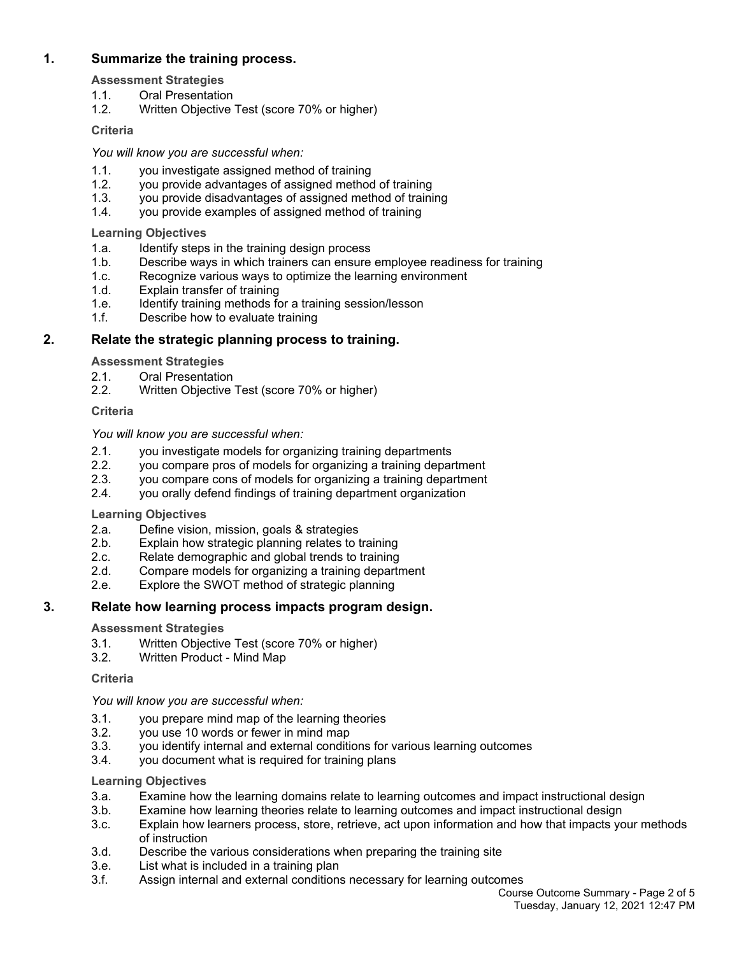# **1. Summarize the training process.**

**Assessment Strategies**

- 1.1. Oral Presentation
- 1.2. Written Objective Test (score 70% or higher)

## **Criteria**

*You will know you are successful when:*

- 1.1. you investigate assigned method of training
- 1.2. you provide advantages of assigned method of training
- 1.3. you provide disadvantages of assigned method of training
- 1.4. you provide examples of assigned method of training

## **Learning Objectives**

- 1.a. Identify steps in the training design process
- 1.b. Describe ways in which trainers can ensure employee readiness for training
- 1.c. Recognize various ways to optimize the learning environment
- 1.d. Explain transfer of training
- 1.e. Identify training methods for a training session/lesson
- 1.f. Describe how to evaluate training

# **2. Relate the strategic planning process to training.**

**Assessment Strategies**

- 2.1. Oral Presentation
- 2.2. Written Objective Test (score 70% or higher)

## **Criteria**

## *You will know you are successful when:*

- 2.1. you investigate models for organizing training departments
- 2.2. you compare pros of models for organizing a training department 2.3. vou compare cons of models for organizing a training department
- you compare cons of models for organizing a training department
- 2.4. you orally defend findings of training department organization

## **Learning Objectives**

- 2.a. Define vision, mission, goals & strategies
- 2.b. Explain how strategic planning relates to training
- 2.c. Relate demographic and global trends to training
- 2.d. Compare models for organizing a training department
- 2.e. Explore the SWOT method of strategic planning

# **3. Relate how learning process impacts program design.**

## **Assessment Strategies**

- 3.1. Written Objective Test (score 70% or higher)
- 3.2. Written Product Mind Map

## **Criteria**

## *You will know you are successful when:*

- 3.1. you prepare mind map of the learning theories
- 3.2. you use 10 words or fewer in mind map
- 3.3. you identify internal and external conditions for various learning outcomes
- 3.4. you document what is required for training plans

## **Learning Objectives**

- 3.a. Examine how the learning domains relate to learning outcomes and impact instructional design
- 3.b. Examine how learning theories relate to learning outcomes and impact instructional design
- 3.c. Explain how learners process, store, retrieve, act upon information and how that impacts your methods of instruction
- 3.d. Describe the various considerations when preparing the training site
- 3.e. List what is included in a training plan
- 3.f. Assign internal and external conditions necessary for learning outcomes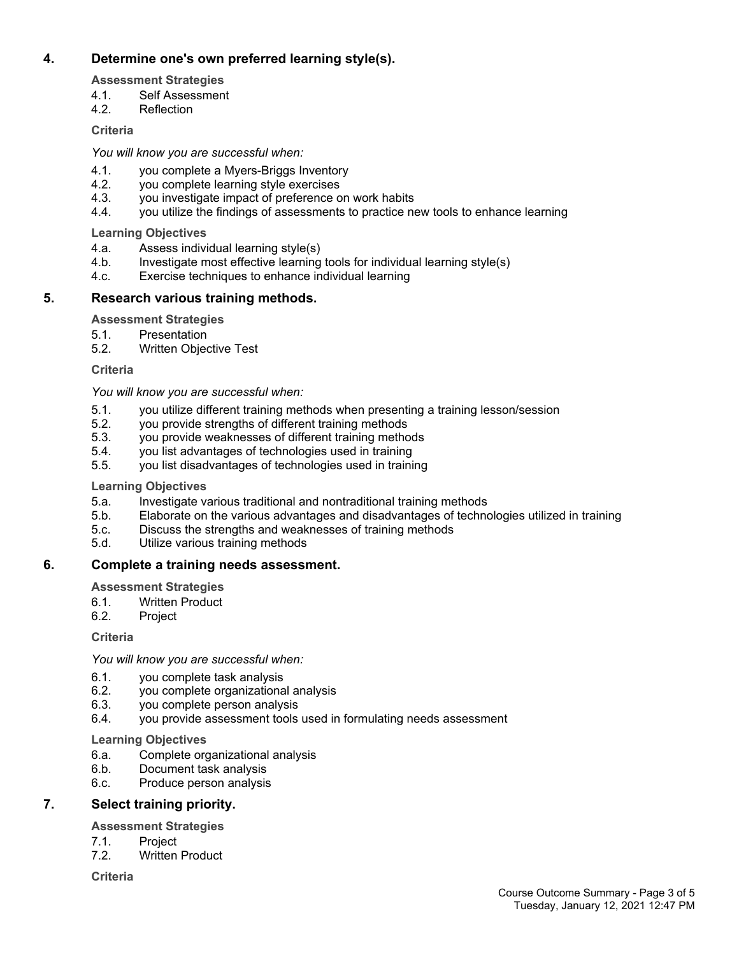# **4. Determine one's own preferred learning style(s).**

**Assessment Strategies**

- 4.1. Self Assessment
- 4.2. Reflection

# **Criteria**

*You will know you are successful when:*

- 4.1. you complete a Myers-Briggs Inventory
- 4.2. you complete learning style exercises
- 4.3. you investigate impact of preference on work habits
- 4.4. you utilize the findings of assessments to practice new tools to enhance learning

**Learning Objectives**

- 4.a. Assess individual learning style(s)
- 4.b. Investigate most effective learning tools for individual learning style(s)
- 4.c. Exercise techniques to enhance individual learning

# **5. Research various training methods.**

**Assessment Strategies**

5.1. Presentation

5.2. Written Objective Test

**Criteria**

*You will know you are successful when:*

- 5.1. you utilize different training methods when presenting a training lesson/session
- 5.2. you provide strengths of different training methods
- 5.3. you provide weaknesses of different training methods
- 5.4. you list advantages of technologies used in training
- 5.5. you list disadvantages of technologies used in training

# **Learning Objectives**

- 5.a. Investigate various traditional and nontraditional training methods
- 5.b. Elaborate on the various advantages and disadvantages of technologies utilized in training
- 5.c. Discuss the strengths and weaknesses of training methods
- 5.d. Utilize various training methods

# **6. Complete a training needs assessment.**

**Assessment Strategies**

- 6.1. Written Product
- 6.2. Project

**Criteria**

*You will know you are successful when:*

- 6.1. you complete task analysis
- 6.2. you complete organizational analysis
- 6.3. you complete person analysis
- 6.4. you provide assessment tools used in formulating needs assessment

# **Learning Objectives**

- 6.a. Complete organizational analysis<br>6.b. Document task analysis
- Document task analysis
- 6.c. Produce person analysis

# **7. Select training priority.**

**Assessment Strategies**

- 7.1. Project
- 7.2. Written Product

**Criteria**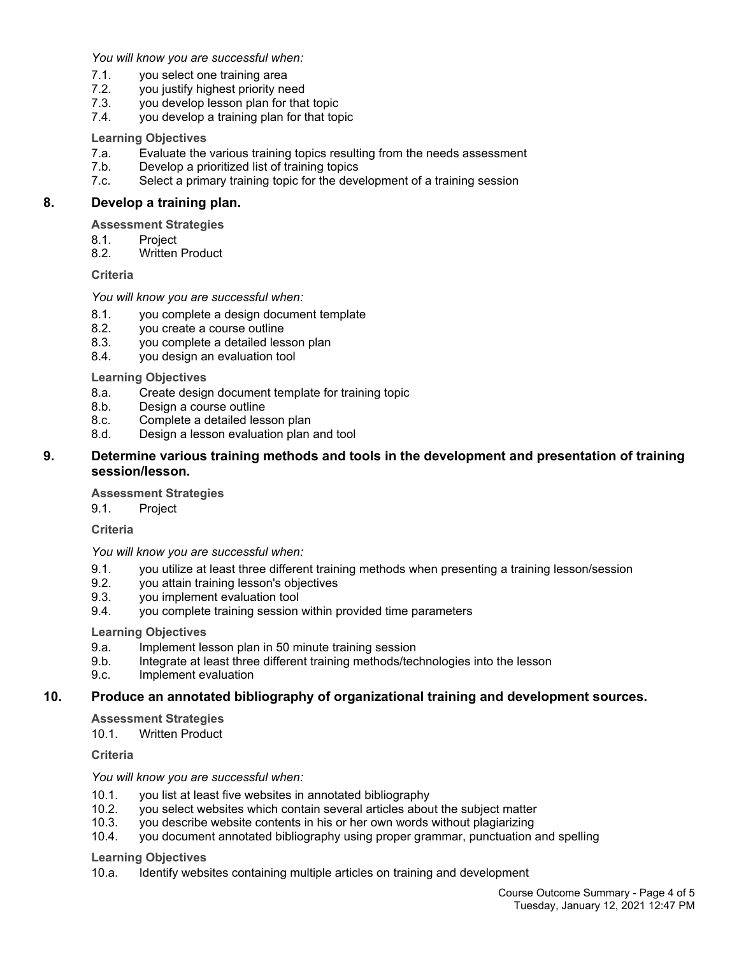*You will know you are successful when:*

- 7.1. you select one training area
- 7.2. you justify highest priority need
- 7.3. you develop lesson plan for that topic
- 7.4. you develop a training plan for that topic

#### **Learning Objectives**

- 7.a. Evaluate the various training topics resulting from the needs assessment
- 7.b. Develop a prioritized list of training topics
- 7.c. Select a primary training topic for the development of a training session

## **8. Develop a training plan.**

**Assessment Strategies**

- 8.1. Project<br>8.2. Written
- Written Product

#### **Criteria**

#### *You will know you are successful when:*

- 8.1. you complete a design document template
- 8.2. you create a course outline
- 8.3. you complete a detailed lesson plan
- 8.4. you design an evaluation tool

**Learning Objectives**

- 8.a. Create design document template for training topic
- 8.b. Design a course outline
- 8.c. Complete a detailed lesson plan
- 8.d. Design a lesson evaluation plan and tool

## **9. Determine various training methods and tools in the development and presentation of training session/lesson.**

#### **Assessment Strategies**

9.1. Project

**Criteria**

*You will know you are successful when:*

- 9.1. you utilize at least three different training methods when presenting a training lesson/session
- 9.2. you attain training lesson's objectives<br>9.3. vou implement evaluation tool
- you implement evaluation tool
- 9.4. you complete training session within provided time parameters

#### **Learning Objectives**

- 9.a. Implement lesson plan in 50 minute training session
- 9.b. Integrate at least three different training methods/technologies into the lesson
- 9.c. Implement evaluation

## **10. Produce an annotated bibliography of organizational training and development sources.**

**Assessment Strategies**

10.1. Written Product

**Criteria**

#### *You will know you are successful when:*

- 10.1. you list at least five websites in annotated bibliography
- 10.2. you select websites which contain several articles about the subject matter
- 10.3. you describe website contents in his or her own words without plagiarizing
- 10.4. you document annotated bibliography using proper grammar, punctuation and spelling

#### **Learning Objectives**

10.a. Identify websites containing multiple articles on training and development